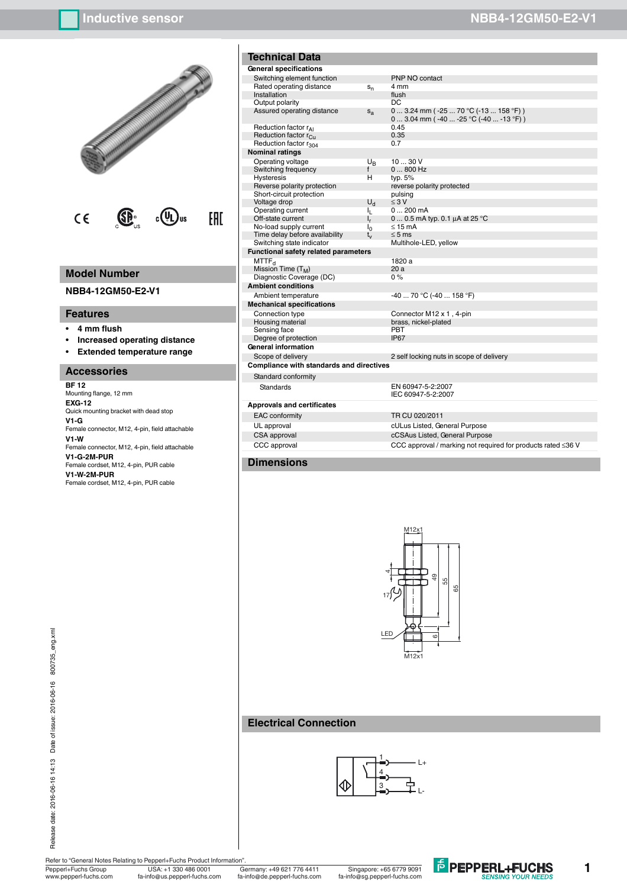

### **Model Number**

**NBB4-12GM50-E2-V1**

### **Features**

- **ï 4 mm flush**
- **ï Increased operating distance**
- **ï Extended temperature range**

### **Accessories**

**BF 12** Mounting flange, 12 mm **EXG-12** Quick mounting bracket with dead stop **V1-G** Female connector, M12, 4-pin, field attachable **V1-W** Female connector, M12, 4-pin, field attachable **V1-G-2M-PUR** Female cordset, M12, 4-pin, PUR cable **V1-W-2M-PUR** Female cordset, M12, 4-pin, PUR cable

| <b>Technical Data</b>                           |                |                          |  |  |
|-------------------------------------------------|----------------|--------------------------|--|--|
| General specifications                          |                |                          |  |  |
| Switching element function                      |                | PNP NO co                |  |  |
| Rated operating distance                        | $s_{n}$        | 4 mm                     |  |  |
| Installation                                    |                | flush                    |  |  |
| Output polarity                                 |                | DC                       |  |  |
| Assured operating distance                      | $s_a$          | $03.24$ m<br>$03.04$ m   |  |  |
| Reduction factor rAI                            |                | 0.45                     |  |  |
| Reduction factor r <sub>Cu</sub>                |                | 0.35                     |  |  |
| Reduction factor r <sub>304</sub>               |                | 0.7                      |  |  |
| <b>Nominal ratings</b>                          |                |                          |  |  |
| Operating voltage                               | U <sub>R</sub> | 1030V                    |  |  |
| Switching frequency                             | f              | $0800$ Hz                |  |  |
| <b>Hysteresis</b>                               | н              | typ. 5%                  |  |  |
| Reverse polarity protection                     |                | reverse pola             |  |  |
| Short-circuit protection                        |                | pulsing                  |  |  |
| Voltage drop                                    | $U_{\rm d}$    | $\leq 3$ V               |  |  |
| Operating current                               | ı.             | $0200$ m/                |  |  |
| Off-state current                               | $\mathsf{I}_r$ | 00.5mA                   |  |  |
| No-load supply current                          | $I_0$          | $\leq$ 15 mA             |  |  |
| Time delay before availability                  | $t_{\rm v}$    | $\leq$ 5 ms              |  |  |
| Switching state indicator                       |                | Multihole-L              |  |  |
| <b>Functional safety related parameters</b>     |                |                          |  |  |
| MTTF <sub>d</sub>                               |                | 1820 a                   |  |  |
| Mission Time (T <sub>M</sub> )                  |                | 20 a                     |  |  |
| Diagnostic Coverage (DC)                        |                | $0\%$                    |  |  |
| <b>Ambient conditions</b>                       |                |                          |  |  |
| Ambient temperature                             |                | -40 … 70 °C              |  |  |
| <b>Mechanical specifications</b>                |                |                          |  |  |
| Connection type                                 |                | Connector I              |  |  |
| Housing material                                |                | brass, nicke             |  |  |
| Sensing face                                    |                | PBT                      |  |  |
| Degree of protection                            |                | <b>IP67</b>              |  |  |
| General information                             |                |                          |  |  |
| Scope of delivery                               |                | 2 self lockir            |  |  |
| <b>Compliance with standards and directives</b> |                |                          |  |  |
| Standard conformity                             |                |                          |  |  |
| Standards                                       |                | EN 60947-5<br>IEC 60947- |  |  |

# **Approvals and certificates** EAC conformity TR CU 020/2011

# $PNP$  NO contact  $0\ldots 3.24$  mm ( -25  $\ldots$  70 °C (-13  $\ldots$  158 °F) ) 0 ... 3.04 mm (`-40 ... -25 °C (-40 ... -13 °F) )<br>0.45  $typ. 5%$ reverse polarity protected pulsing<br>≤ 3 V  $0 \dots 200$  mA  $\overline{0}$  ... 0.5 mA typ. 0.1  $\mu$ A at 25 °C  $≤ 15 \text{ mA}$ <br> $≤ 5 \text{ ms}$ \_\_....<br>Multihole-LED, yellow 1820 a<br>20 a 40 ... 70 °C (-40 ... 158 °F) Connector M12 x 1, 4-pin brass, nickel-plated<br>PBT 2 self locking nuts in scope of delivery EN 60947-5-2:2007 IEC 60947-5-2:2007

UL approval cultus Listed, General Purpose<br>CSA approval cultus cCSAus Listed, General Purpose CSA approval cCSAus Listed, General Purpose<br>CCC approval cCC approval cCC approval cCC approval cCC approval cCC approval cCC approval cCC approval c CCC approval / marking not required for products rated ≤36 V

#### **Dimensions**



### **Electrical Connection**



Pepperl+Fuchs Group Germany: +49 621 776 4411 USA: +1 330 486 0001 Singapore: +65 6779 9091 Refer to "General Notes Relating to Pepperl+Fuchs Product Information"<br>
Pepperl+Fuchs Group<br>
USA: +1 330 486 0001 www.pepperl-fuchs.com fa-info@us.pepperl-fuchs.com fa-info@sg.pepperl-fuchs.com fa-info@de.pepperl-fuchs.com



**1**

# **Inductive sensor NBB4-12GM50-E2-V1**